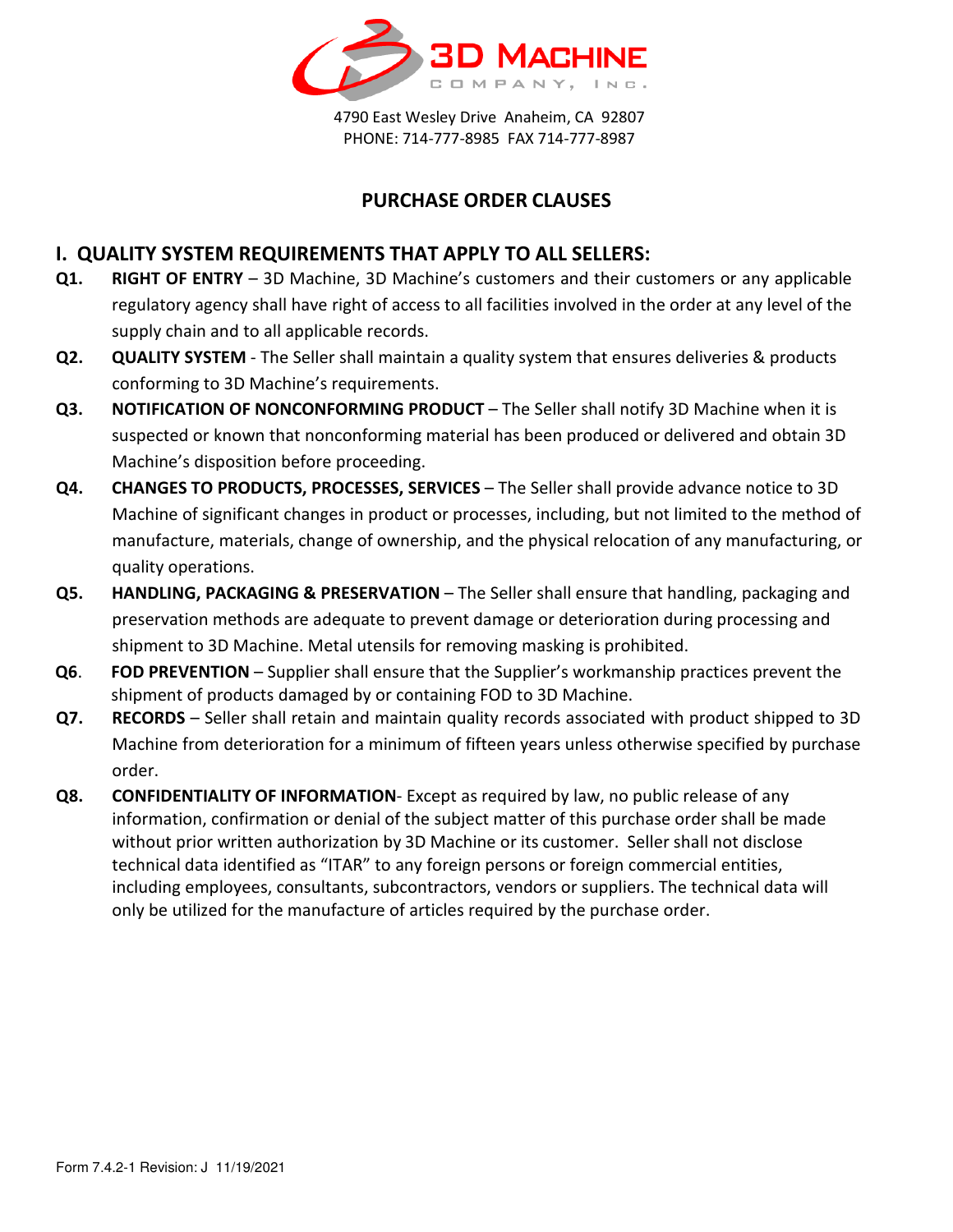

4790 East Wesley Drive Anaheim, CA 92807 PHONE: 714-777-8985 FAX 714-777-8987

## **PURCHASE ORDER CLAUSES**

## **I. QUALITY SYSTEM REQUIREMENTS THAT APPLY TO ALL SELLERS:**

- **Q1. RIGHT OF ENTRY**  3D Machine, 3D Machine's customers and their customers or any applicable regulatory agency shall have right of access to all facilities involved in the order at any level of the supply chain and to all applicable records.
- **Q2. QUALITY SYSTEM**  The Seller shall maintain a quality system that ensures deliveries & products conforming to 3D Machine's requirements.
- **Q3. NOTIFICATION OF NONCONFORMING PRODUCT** The Seller shall notify 3D Machine when it is suspected or known that nonconforming material has been produced or delivered and obtain 3D Machine's disposition before proceeding.
- **Q4.** CHANGES TO PRODUCTS, PROCESSES, SERVICES The Seller shall provide advance notice to 3D Machine of significant changes in product or processes, including, but not limited to the method of manufacture, materials, change of ownership, and the physical relocation of any manufacturing, or quality operations.
- **Q5. HANDLING, PACKAGING & PRESERVATION** The Seller shall ensure that handling, packaging and preservation methods are adequate to prevent damage or deterioration during processing and shipment to 3D Machine. Metal utensils for removing masking is prohibited.
- **Q6**. **FOD PREVENTION** Supplier shall ensure that the Supplier's workmanship practices prevent the shipment of products damaged by or containing FOD to 3D Machine.
- **Q7. RECORDS**  Seller shall retain and maintain quality records associated with product shipped to 3D Machine from deterioration for a minimum of fifteen years unless otherwise specified by purchase order.
- **Q8. CONFIDENTIALITY OF INFORMATION** Except as required by law, no public release of any information, confirmation or denial of the subject matter of this purchase order shall be made without prior written authorization by 3D Machine or its customer. Seller shall not disclose technical data identified as "ITAR" to any foreign persons or foreign commercial entities, including employees, consultants, subcontractors, vendors or suppliers. The technical data will only be utilized for the manufacture of articles required by the purchase order.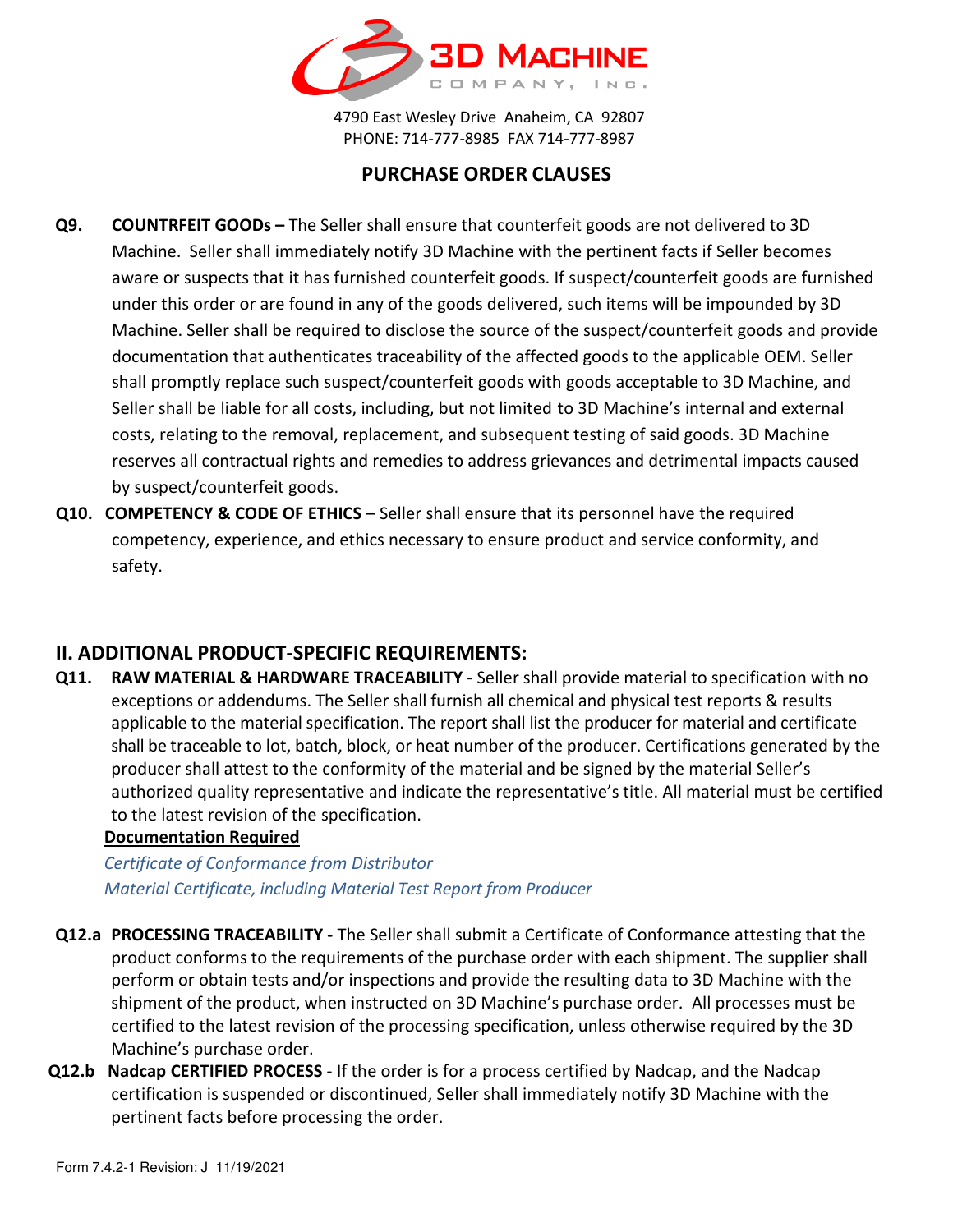

4790 East Wesley Drive Anaheim, CA 92807 PHONE: 714-777-8985 FAX 714-777-8987

# **PURCHASE ORDER CLAUSES**

- **Q9. COUNTRFEIT GOODs** The Seller shall ensure that counterfeit goods are not delivered to 3D Machine. Seller shall immediately notify 3D Machine with the pertinent facts if Seller becomes aware or suspects that it has furnished counterfeit goods. If suspect/counterfeit goods are furnished under this order or are found in any of the goods delivered, such items will be impounded by 3D Machine. Seller shall be required to disclose the source of the suspect/counterfeit goods and provide documentation that authenticates traceability of the affected goods to the applicable OEM. Seller shall promptly replace such suspect/counterfeit goods with goods acceptable to 3D Machine, and Seller shall be liable for all costs, including, but not limited to 3D Machine's internal and external costs, relating to the removal, replacement, and subsequent testing of said goods. 3D Machine reserves all contractual rights and remedies to address grievances and detrimental impacts caused by suspect/counterfeit goods.
- **Q10. COMPETENCY & CODE OF ETHICS** Seller shall ensure that its personnel have the required competency, experience, and ethics necessary to ensure product and service conformity, and safety.

## **II. ADDITIONAL PRODUCT-SPECIFIC REQUIREMENTS:**

**Q11. RAW MATERIAL & HARDWARE TRACEABILITY** - Seller shall provide material to specification with no exceptions or addendums. The Seller shall furnish all chemical and physical test reports & results applicable to the material specification. The report shall list the producer for material and certificate shall be traceable to lot, batch, block, or heat number of the producer. Certifications generated by the producer shall attest to the conformity of the material and be signed by the material Seller's authorized quality representative and indicate the representative's title. All material must be certified to the latest revision of the specification.

#### **Documentation Required**

*Certificate of Conformance from Distributor Material Certificate, including Material Test Report from Producer*

- **Q12.a PROCESSING TRACEABILITY** The Seller shall submit a Certificate of Conformance attesting that the product conforms to the requirements of the purchase order with each shipment. The supplier shall perform or obtain tests and/or inspections and provide the resulting data to 3D Machine with the shipment of the product, when instructed on 3D Machine's purchase order. All processes must be certified to the latest revision of the processing specification, unless otherwise required by the 3D Machine's purchase order.
- **Q12.b Nadcap CERTIFIED PROCESS** If the order is for a process certified by Nadcap, and the Nadcap certification is suspended or discontinued, Seller shall immediately notify 3D Machine with the pertinent facts before processing the order.